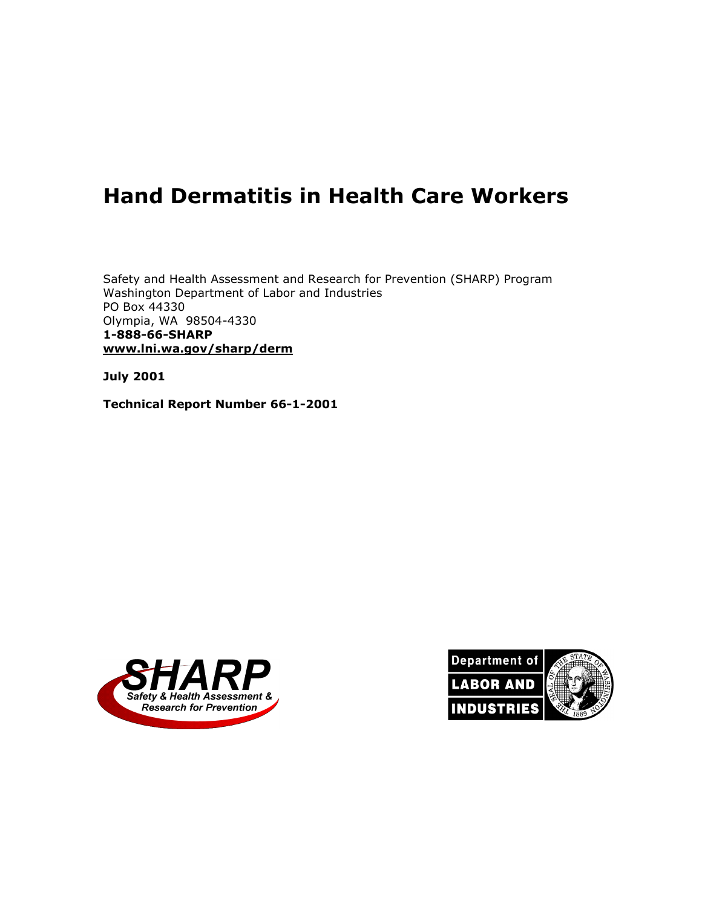# **Hand Dermatitis in Health Care Workers**

Safety and Health Assessment and Research for Prevention (SHARP) Program Washington Department of Labor and Industries PO Box 44330 Olympia, WA 98504-4330 **1-888-66-SHARP www.lni.wa.gov/sharp/derm**

**July 2001** 

**Technical Report Number 66-1-2001** 



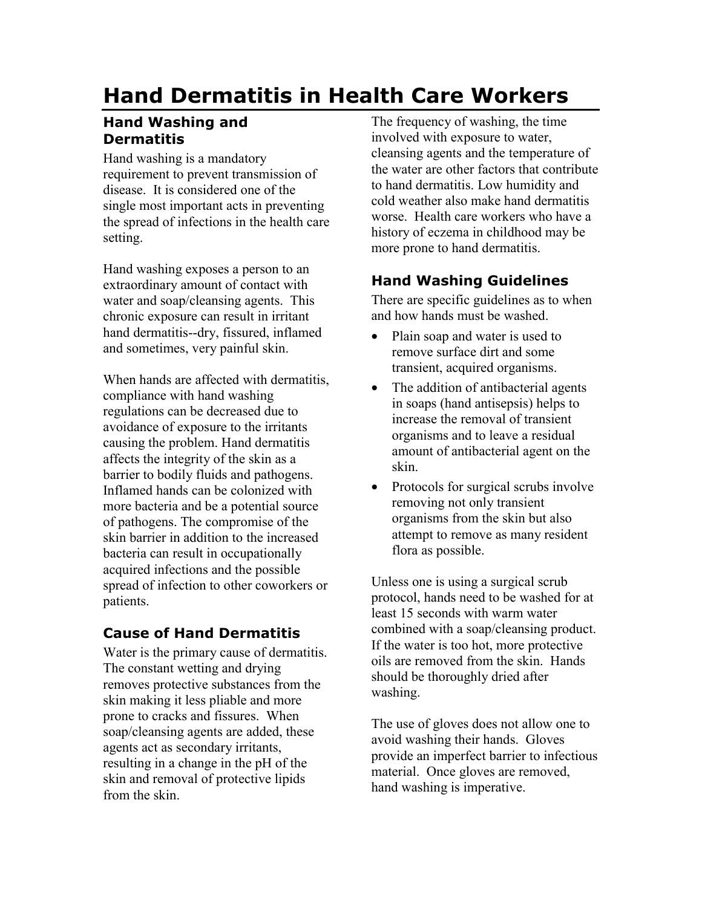# **Hand Dermatitis in Health Care Workers**

## **Hand Washing and Dermatitis**

Hand washing is a mandatory requirement to prevent transmission of disease. It is considered one of the single most important acts in preventing the spread of infections in the health care setting.

Hand washing exposes a person to an extraordinary amount of contact with water and soap/cleansing agents. This chronic exposure can result in irritant hand dermatitis--dry, fissured, inflamed and sometimes, very painful skin.

When hands are affected with dermatitis, compliance with hand washing regulations can be decreased due to avoidance of exposure to the irritants causing the problem. Hand dermatitis affects the integrity of the skin as a barrier to bodily fluids and pathogens. Inflamed hands can be colonized with more bacteria and be a potential source of pathogens. The compromise of the skin barrier in addition to the increased bacteria can result in occupationally acquired infections and the possible spread of infection to other coworkers or patients.

## **Cause of Hand Dermatitis**

Water is the primary cause of dermatitis. The constant wetting and drying removes protective substances from the skin making it less pliable and more prone to cracks and fissures. When soap/cleansing agents are added, these agents act as secondary irritants, resulting in a change in the pH of the skin and removal of protective lipids from the skin.

The frequency of washing, the time involved with exposure to water, cleansing agents and the temperature of the water are other factors that contribute to hand dermatitis. Low humidity and cold weather also make hand dermatitis worse. Health care workers who have a history of eczema in childhood may be more prone to hand dermatitis.

## **Hand Washing Guidelines**

There are specific guidelines as to when and how hands must be washed.

- Plain soap and water is used to remove surface dirt and some transient, acquired organisms.
- The addition of antibacterial agents in soaps (hand antisepsis) helps to increase the removal of transient organisms and to leave a residual amount of antibacterial agent on the skin.
- Protocols for surgical scrubs involve removing not only transient organisms from the skin but also attempt to remove as many resident flora as possible.

Unless one is using a surgical scrub protocol, hands need to be washed for at least 15 seconds with warm water combined with a soap/cleansing product. If the water is too hot, more protective oils are removed from the skin. Hands should be thoroughly dried after washing.

The use of gloves does not allow one to avoid washing their hands. Gloves provide an imperfect barrier to infectious material. Once gloves are removed, hand washing is imperative.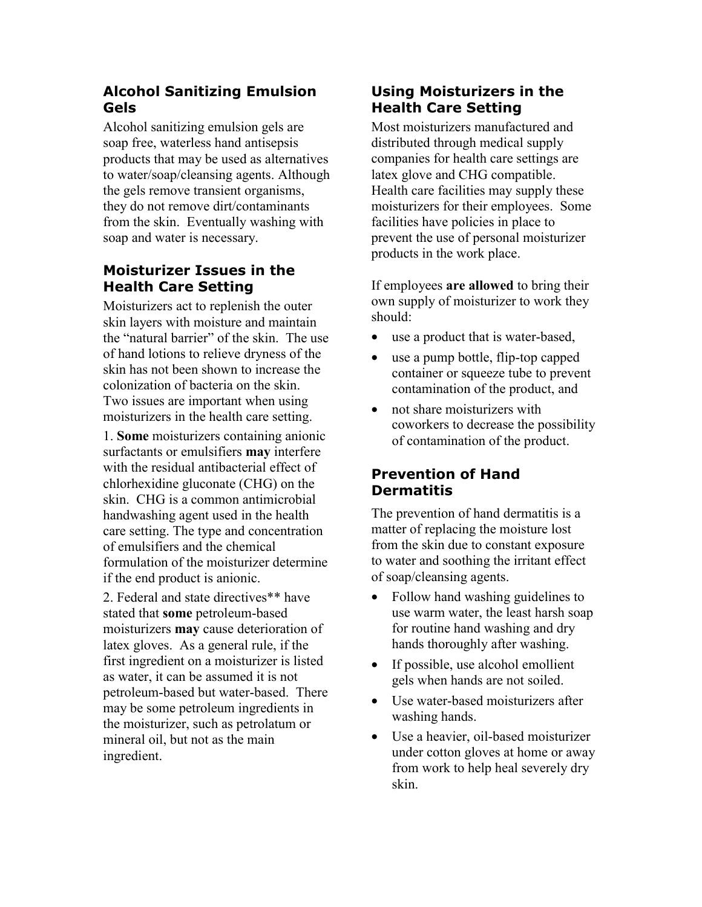### **Alcohol Sanitizing Emulsion Gels**

Alcohol sanitizing emulsion gels are soap free, waterless hand antisepsis products that may be used as alternatives to water/soap/cleansing agents. Although the gels remove transient organisms, they do not remove dirt/contaminants from the skin. Eventually washing with soap and water is necessary.

## **Moisturizer Issues in the Health Care Setting**

Moisturizers act to replenish the outer skin layers with moisture and maintain the "natural barrier" of the skin. The use of hand lotions to relieve dryness of the skin has not been shown to increase the colonization of bacteria on the skin. Two issues are important when using moisturizers in the health care setting.

1. **Some** moisturizers containing anionic surfactants or emulsifiers **may** interfere with the residual antibacterial effect of chlorhexidine gluconate (CHG) on the skin. CHG is a common antimicrobial handwashing agent used in the health care setting. The type and concentration of emulsifiers and the chemical formulation of the moisturizer determine if the end product is anionic.

2. Federal and state directives\*\* have stated that **some** petroleum-based moisturizers **may** cause deterioration of latex gloves. As a general rule, if the first ingredient on a moisturizer is listed as water, it can be assumed it is not petroleum-based but water-based. There may be some petroleum ingredients in the moisturizer, such as petrolatum or mineral oil, but not as the main ingredient.

### **Using Moisturizers in the Health Care Setting**

Most moisturizers manufactured and distributed through medical supply companies for health care settings are latex glove and CHG compatible. Health care facilities may supply these moisturizers for their employees. Some facilities have policies in place to prevent the use of personal moisturizer products in the work place.

If employees **are allowed** to bring their own supply of moisturizer to work they should:

- use a product that is water-based,
- use a pump bottle, flip-top capped container or squeeze tube to prevent contamination of the product, and
- not share moisturizers with coworkers to decrease the possibility of contamination of the product.

### **Prevention of Hand Dermatitis**

The prevention of hand dermatitis is a matter of replacing the moisture lost from the skin due to constant exposure to water and soothing the irritant effect of soap/cleansing agents.

- Follow hand washing guidelines to use warm water, the least harsh soap for routine hand washing and dry hands thoroughly after washing.
- If possible, use alcohol emollient gels when hands are not soiled.
- Use water-based moisturizers after washing hands.
- Use a heavier, oil-based moisturizer under cotton gloves at home or away from work to help heal severely dry skin.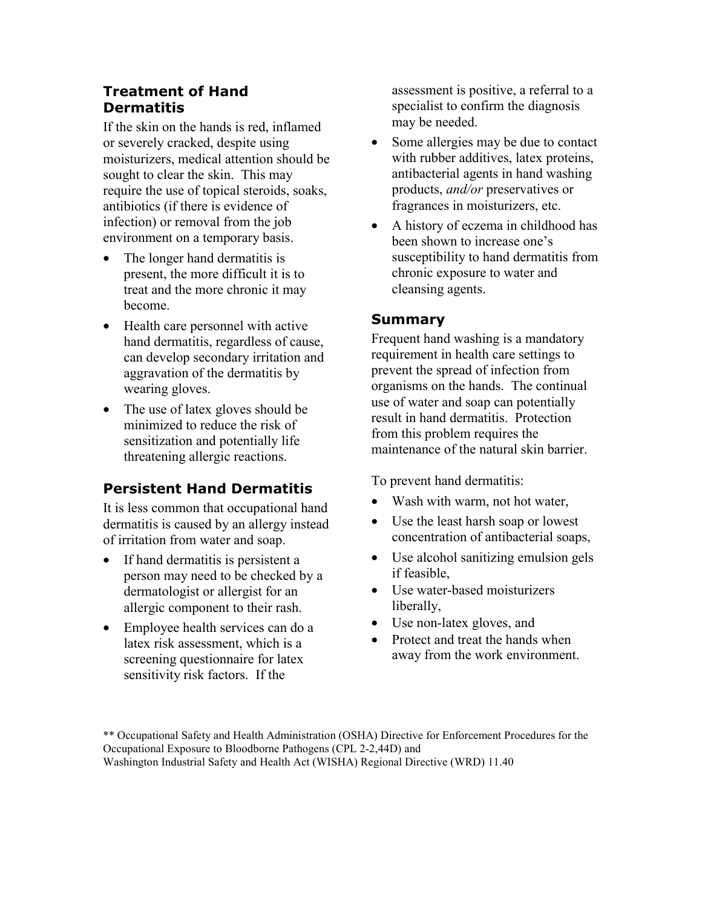### **Treatment of Hand Dermatitis**

If the skin on the hands is red, inflamed or severely cracked, despite using moisturizers, medical attention should be sought to clear the skin. This may require the use of topical steroids, soaks, antibiotics (if there is evidence of infection) or removal from the job environment on a temporary basis.

- The longer hand dermatitis is present, the more difficult it is to treat and the more chronic it may become.
- Health care personnel with active hand dermatitis, regardless of cause, can develop secondary irritation and aggravation of the dermatitis by wearing gloves.
- The use of latex gloves should be minimized to reduce the risk of sensitization and potentially life threatening allergic reactions.

### **Persistent Hand Dermatitis**

It is less common that occupational hand dermatitis is caused by an allergy instead of irritation from water and soap.

- If hand dermatitis is persistent a person may need to be checked by a dermatologist or allergist for an allergic component to their rash.
- Employee health services can do a latex risk assessment, which is a screening questionnaire for latex sensitivity risk factors. If the

assessment is positive, a referral to a specialist to confirm the diagnosis may be needed.

- Some allergies may be due to contact with rubber additives, latex proteins, antibacterial agents in hand washing products, *and/or* preservatives or fragrances in moisturizers, etc.
- A history of eczema in childhood has been shown to increase one's susceptibility to hand dermatitis from chronic exposure to water and cleansing agents.

#### **Summary**

Frequent hand washing is a mandatory requirement in health care settings to prevent the spread of infection from organisms on the hands. The continual use of water and soap can potentially result in hand dermatitis. Protection from this problem requires the maintenance of the natural skin barrier.

To prevent hand dermatitis:

- Wash with warm, not hot water,
- Use the least harsh soap or lowest concentration of antibacterial soaps,
- Use alcohol sanitizing emulsion gels if feasible,
- Use water-based moisturizers liberally,
- Use non-latex gloves, and
- Protect and treat the hands when away from the work environment.

<sup>\*\*</sup> Occupational Safety and Health Administration (OSHA) Directive for Enforcement Procedures for the Occupational Exposure to Bloodborne Pathogens (CPL 2-2,44D) and Washington Industrial Safety and Health Act (WISHA) Regional Directive (WRD) 11.40